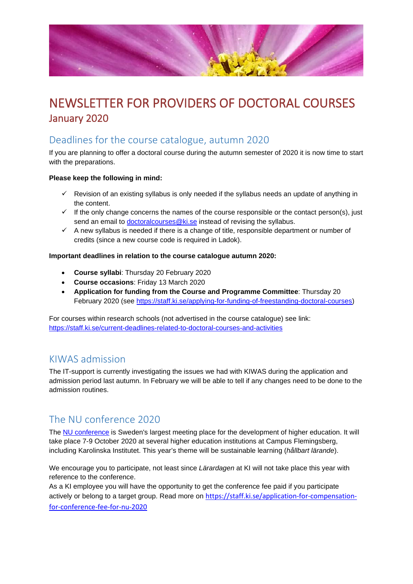

# NEWSLETTER FOR PROVIDERS OF DOCTORAL COURSES January 2020

### Deadlines for the course catalogue, autumn 2020

If you are planning to offer a doctoral course during the autumn semester of 2020 it is now time to start with the preparations.

#### **Please keep the following in mind:**

- $\checkmark$  Revision of an existing syllabus is only needed if the syllabus needs an update of anything in the content.
- $\checkmark$  If the only change concerns the names of the course responsible or the contact person(s), just send an email to [doctoralcourses@ki.se](mailto:doctoralcourses@ki.se) instead of revising the syllabus.
- $\checkmark$  A new syllabus is needed if there is a change of title, responsible department or number of credits (since a new course code is required in Ladok).

#### **Important deadlines in relation to the course catalogue autumn 2020:**

- **Course syllabi**: Thursday 20 February 2020
- **Course occasions**: Friday 13 March 2020
- **Application for funding from the Course and Programme Committee**: Thursday 20 February 2020 (see [https://staff.ki.se/applying-for-funding-of-freestanding-doctoral-courses\)](https://staff.ki.se/applying-for-funding-of-freestanding-doctoral-courses)

For courses within research schools (not advertised in the course catalogue) see link: <https://staff.ki.se/current-deadlines-related-to-doctoral-courses-and-activities>

#### KIWAS admission

The IT-support is currently investigating the issues we had with KIWAS during the application and admission period last autumn. In February we will be able to tell if any changes need to be done to the admission routines.

### The NU conference 2020

The [NU conference](https://nu2020.se/) is Sweden's largest meeting place for the development of higher education. It will take place 7-9 October 2020 at several higher education institutions at Campus Flemingsberg, including Karolinska Institutet. This year's theme will be sustainable learning (*hållbart lärande*).

We encourage you to participate, not least since *Lärardagen* at KI will not take place this year with reference to the conference.

As a KI employee you will have the opportunity to get the conference fee paid if you participate actively or belong to a target group. Read more on [https://staff.ki.se/application-for-compensation](https://staff.ki.se/application-for-compensation-for-conference-fee-for-nu-2020)[for-conference-fee-for-nu-2020](https://staff.ki.se/application-for-compensation-for-conference-fee-for-nu-2020)